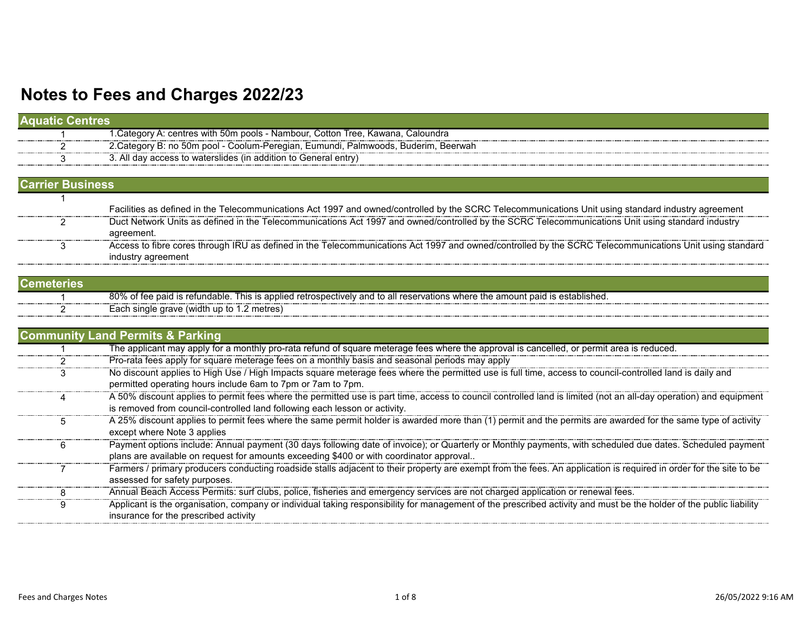| <b>Aquatic Centres</b>  |                                                                                                                                                                     |
|-------------------------|---------------------------------------------------------------------------------------------------------------------------------------------------------------------|
|                         | 1. Category A: centres with 50m pools - Nambour, Cotton Tree, Kawana, Caloundra                                                                                     |
|                         | 2.Category B: no 50m pool - Coolum-Peregian, Eumundi, Palmwoods, Buderim, Beerwah                                                                                   |
|                         | 3. All day access to waterslides (in addition to General entry)                                                                                                     |
|                         |                                                                                                                                                                     |
| <b>Carrier Business</b> |                                                                                                                                                                     |
|                         |                                                                                                                                                                     |
|                         | Facilities as defined in the Telecommunications Act 1997 and owned/controlled by the SCRC Telecommunications Unit using standard industry agreement                 |
| 2                       | Duct Network Units as defined in the Telecommunications Act 1997 and owned/controlled by the SCRC Telecommunications Unit using standard industry                   |
|                         | agreement.                                                                                                                                                          |
| 3                       | Access to fibre cores through IRU as defined in the Telecommunications Act 1997 and owned/controlled by the SCRC Telecommunications Unit using standard             |
|                         | industry agreement                                                                                                                                                  |
|                         |                                                                                                                                                                     |
| <b>Cemeteries</b>       |                                                                                                                                                                     |
|                         | 80% of fee paid is refundable. This is applied retrospectively and to all reservations where the amount paid is established.                                        |
|                         | Each single grave (width up to 1.2 metres)                                                                                                                          |
|                         |                                                                                                                                                                     |
|                         | <b>Community Land Permits &amp; Parking</b>                                                                                                                         |
|                         | The applicant may apply for a monthly pro-rata refund of square meterage fees where the approval is cancelled, or permit area is reduced.                           |
|                         | Pro-rata fees apply for square meterage fees on a monthly basis and seasonal periods may apply                                                                      |
| 3                       | No discount applies to High Use / High Impacts square meterage fees where the permitted use is full time, access to council-controlled land is daily and            |
|                         | permitted operating hours include 6am to 7pm or 7am to 7pm.                                                                                                         |
| 4                       | A 50% discount applies to permit fees where the permitted use is part time, access to council controlled land is limited (not an all-day operation) and equipment   |
|                         | is removed from council-controlled land following each lesson or activity.                                                                                          |
| 5                       | A 25% discount applies to permit fees where the same permit holder is awarded more than (1) permit and the permits are awarded for the same type of activity        |
|                         | except where Note 3 applies                                                                                                                                         |
| 6                       | Payment options include: Annual payment (30 days following date of invoice); or Quarterly or Monthly payments, with scheduled due dates. Scheduled payment          |
|                         | plans are available on request for amounts exceeding \$400 or with coordinator approval                                                                             |
|                         | Farmers / primary producers conducting roadside stalls adjacent to their property are exempt from the fees. An application is required in order for the site to be  |
|                         | assessed for safety purposes.                                                                                                                                       |
| 8                       | Annual Beach Access Permits: surf clubs, police, fisheries and emergency services are not charged application or renewal fees.                                      |
| 9                       | Applicant is the organisation, company or individual taking responsibility for management of the prescribed activity and must be the holder of the public liability |
|                         | insurance for the prescribed activity                                                                                                                               |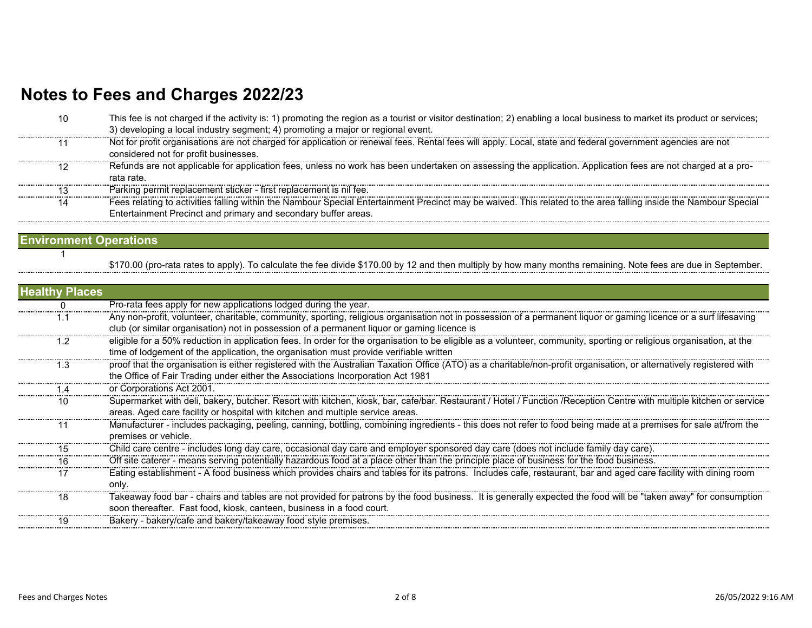| 10 | This fee is not charged if the activity is: 1) promoting the region as a tourist or visitor destination; 2) enabling a local business to market its product or services; |
|----|--------------------------------------------------------------------------------------------------------------------------------------------------------------------------|
|    | 3) developing a local industry segment; 4) promoting a major or regional event.                                                                                          |
|    | Not for profit organisations are not charged for application or renewal fees. Rental fees will apply. Local, state and federal government agencies are not               |
|    | considered not for profit businesses.                                                                                                                                    |
|    | Refunds are not applicable for application fees, unless no work has been undertaken on assessing the application. Application fees are not charged at a pro-             |
|    | rata rate.                                                                                                                                                               |
| 13 | Parking permit replacement sticker - first replacement is nil fee.                                                                                                       |
| 14 | Fees relating to activities falling within the Nambour Special Entertainment Precinct may be waived. This related to the area falling inside the Nambour Special         |
|    | Entertainment Precinct and primary and secondary buffer areas.                                                                                                           |
|    |                                                                                                                                                                          |

#### **Environment Operations** 1

\$170.00 (pro-rata rates to apply). To calculate the fee divide \$170.00 by 12 and then multiply by how many months remaining. Note fees are due in September.

| <b>Healthy Places</b> |                                                                                                                                                                      |
|-----------------------|----------------------------------------------------------------------------------------------------------------------------------------------------------------------|
|                       | Pro-rata fees apply for new applications lodged during the year.                                                                                                     |
| 1.1                   | Any non-profit, volunteer, charitable, community, sporting, religious organisation not in possession of a permanent liquor or gaming licence or a surf lifesaving    |
|                       | club (or similar organisation) not in possession of a permanent liquor or gaming licence is                                                                          |
| 1.2                   | eligible for a 50% reduction in application fees. In order for the organisation to be eligible as a volunteer, community, sporting or religious organisation, at the |
|                       | time of lodgement of the application, the organisation must provide verifiable written                                                                               |
| 1.3                   | proof that the organisation is either registered with the Australian Taxation Office (ATO) as a charitable/non-profit organisation, or alternatively registered with |
|                       | the Office of Fair Trading under either the Associations Incorporation Act 1981                                                                                      |
| ∣.4                   | or Corporations Act 2001.                                                                                                                                            |
| 10                    | Supermarket with deli, bakery, butcher. Resort with kitchen, kiosk, bar, cafe/bar. Restaurant / Hotel / Function /Reception Centre with multiple kitchen or service  |
|                       | areas. Aged care facility or hospital with kitchen and multiple service areas.                                                                                       |
| 11                    | Manufacturer - includes packaging, peeling, canning, bottling, combining ingredients - this does not refer to food being made at a premises for sale at/from the     |
|                       | premises or vehicle.                                                                                                                                                 |
| 15                    | Child care centre - includes long day care, occasional day care and employer sponsored day care (does not include family day care).                                  |
| 16                    | Off site caterer - means serving potentially hazardous food at a place other than the principle place of business for the food business.                             |
| 17                    | Eating establishment - A food business which provides chairs and tables for its patrons. Includes cafe, restaurant, bar and aged care facility with dining room      |
|                       | only.                                                                                                                                                                |
| 18                    | Takeaway food bar - chairs and tables are not provided for patrons by the food business. It is generally expected the food will be "taken away" for consumption      |
|                       | soon thereafter. Fast food, kiosk, canteen, business in a food court.                                                                                                |
| 19                    | Bakery - bakery/cafe and bakery/takeaway food style premises.                                                                                                        |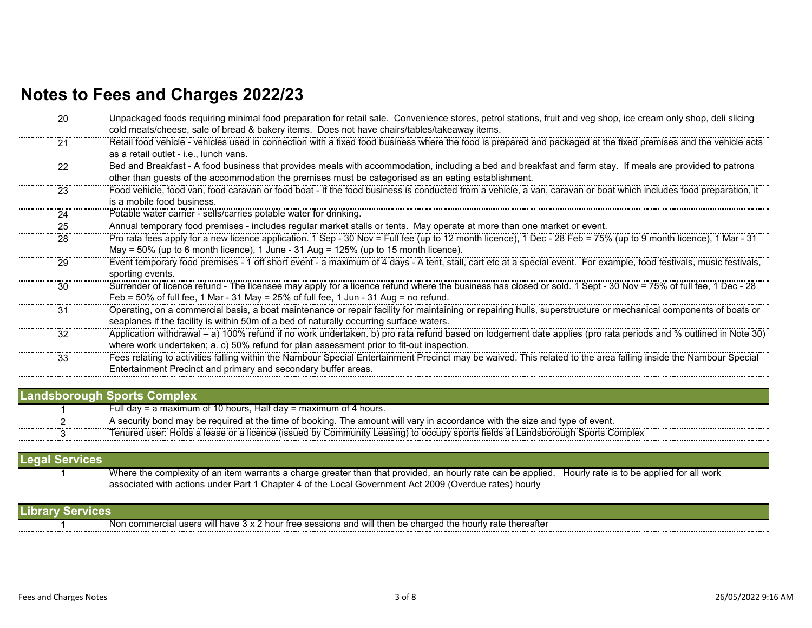| 20 | Unpackaged foods requiring minimal food preparation for retail sale. Convenience stores, petrol stations, fruit and veg shop, ice cream only shop, deli slicing<br>cold meats/cheese, sale of bread & bakery items. Does not have chairs/tables/takeaway items.  |
|----|------------------------------------------------------------------------------------------------------------------------------------------------------------------------------------------------------------------------------------------------------------------|
| 21 | Retail food vehicle - vehicles used in connection with a fixed food business where the food is prepared and packaged at the fixed premises and the vehicle acts<br>as a retail outlet - i.e., lunch vans.                                                        |
| 22 | Bed and Breakfast - A food business that provides meals with accommodation, including a bed and breakfast and farm stay. If meals are provided to patrons<br>other than guests of the accommodation the premises must be categorised as an eating establishment. |
| 23 | Food vehicle, food van, food caravan or food boat - If the food business is conducted from a vehicle, a van, caravan or boat which includes food preparation, it<br>is a mobile food business.                                                                   |
| 24 | Potable water carrier - sells/carries potable water for drinking.                                                                                                                                                                                                |
| 25 | Annual temporary food premises - includes regular market stalls or tents. May operate at more than one market or event.                                                                                                                                          |
| 28 | Pro rata fees apply for a new licence application. 1 Sep - 30 Nov = Full fee (up to 12 month licence), 1 Dec - 28 Feb = 75% (up to 9 month licence), 1 Mar - 31<br>May = $50\%$ (up to 6 month licence), 1 June - 31 Aug = $125\%$ (up to 15 month licence).     |
| 29 | Event temporary food premises - 1 off short event - a maximum of 4 days - A tent, stall, cart etc at a special event. For example, food festivals, music festivals,<br>sporting events.                                                                          |
| 30 | Surrender of licence refund - The licensee may apply for a licence refund where the business has closed or sold. 1 Sept - 30 Nov = 75% of full fee, 1 Dec - 28<br>Feb = $50\%$ of full fee, 1 Mar - 31 May = $25\%$ of full fee, 1 Jun - 31 Aug = no refund.     |
| 31 | Operating, on a commercial basis, a boat maintenance or repair facility for maintaining or repairing hulls, superstructure or mechanical components of boats or<br>seaplanes if the facility is within 50m of a bed of naturally occurring surface waters.       |
| 32 | Application withdrawal - a) 100% refund if no work undertaken. b) pro rata refund based on lodgement date applies (pro rata periods and % outlined in Note 30)<br>where work undertaken; a. c) 50% refund for plan assessment prior to fit-out inspection.       |
| 33 | Fees relating to activities falling within the Nambour Special Entertainment Precinct may be waived. This related to the area falling inside the Nambour Special<br>Entertainment Precinct and primary and secondary buffer areas.                               |

|  | Full day = a maximum of 10 hours, Half day = maximum of 4 hours.                                                                           |  |
|--|--------------------------------------------------------------------------------------------------------------------------------------------|--|
|  | . The amount will varv in<br>ו accordance with the size and tvpe of event.<br>\ security bond may be required at the time of booking.      |  |
|  | ′ Community Leasing) to occupy sports fields at l<br>. Holds a lease or a licence (issued by (<br>Landsborough<br>Complex<br>Tenured user: |  |

| <b>ILegal Services</b> |                                                                                                                                                        |  |
|------------------------|--------------------------------------------------------------------------------------------------------------------------------------------------------|--|
|                        | Where the complexity of an item warrants a charge greater than that provided, an hourly rate can be applied. Hourly rate is to be applied for all work |  |
|                        | associated with actions under Part 1 Chapter 4 of the Local Government Act 2009 (Overdue rates) hourly                                                 |  |
|                        |                                                                                                                                                        |  |

| Library<br><b>AVICE</b> . |                                                                                                                                                                                 |
|---------------------------|---------------------------------------------------------------------------------------------------------------------------------------------------------------------------------|
|                           | l users will have :<br>d will then be charged the h<br>thereatter<br>Non commercial<br>rate<br>r free sessions and<br>: nou<br>hourly i.<br>----------------------------------- |
|                           |                                                                                                                                                                                 |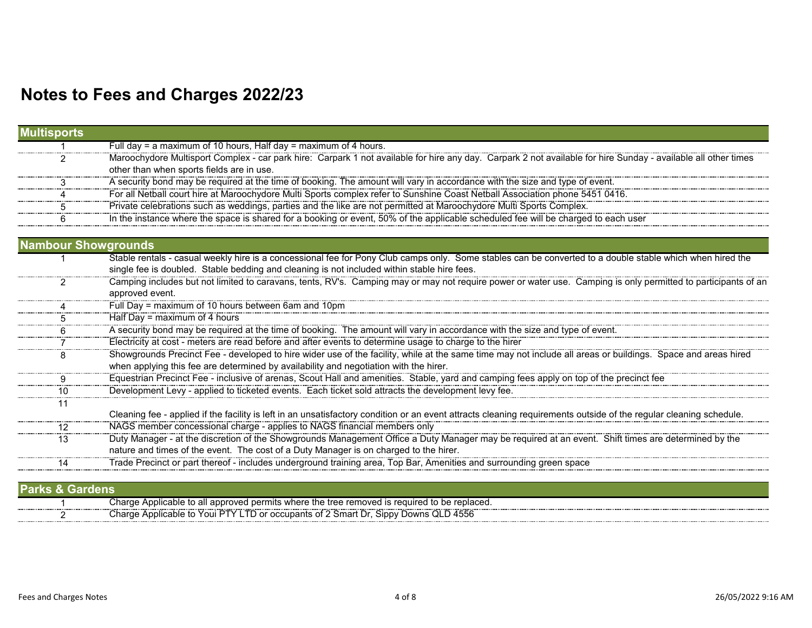| <b>Multisports</b>         |                                                                                                                                                                                                                                                          |
|----------------------------|----------------------------------------------------------------------------------------------------------------------------------------------------------------------------------------------------------------------------------------------------------|
|                            | Full day = a maximum of 10 hours, Half day = maximum of 4 hours.                                                                                                                                                                                         |
|                            | Maroochydore Multisport Complex - car park hire: Carpark 1 not available for hire any day. Carpark 2 not available for hire Sunday - available all other times                                                                                           |
|                            | other than when sports fields are in use.                                                                                                                                                                                                                |
|                            | A security bond may be required at the time of booking. The amount will vary in accordance with the size and type of event.                                                                                                                              |
|                            | For all Netball court hire at Maroochydore Multi Sports complex refer to Sunshine Coast Netball Association phone 5451 0416.                                                                                                                             |
|                            | Private celebrations such as weddings, parties and the like are not permitted at Maroochydore Multi Sports Complex.                                                                                                                                      |
|                            | In the instance where the space is shared for a booking or event, 50% of the applicable scheduled fee will be charged to each user                                                                                                                       |
| <b>Nambour Showgrounds</b> |                                                                                                                                                                                                                                                          |
|                            |                                                                                                                                                                                                                                                          |
|                            | Stable rentals - casual weekly hire is a concessional fee for Pony Club camps only. Some stables can be converted to a double stable which when hired the<br>single fee is doubled. Stable bedding and cleaning is not included within stable hire fees. |
|                            | Camping includes but not limited to caravans, tents, RV's. Camping may or may not require power or water use. Camping is only permitted to participants of an                                                                                            |
|                            | approved event.                                                                                                                                                                                                                                          |
|                            | Full Day = maximum of 10 hours between 6am and 10pm                                                                                                                                                                                                      |
|                            | Half Day = maximum of 4 hours                                                                                                                                                                                                                            |
|                            | A security bond may be required at the time of booking. The amount will vary in accordance with the size and type of event.                                                                                                                              |
|                            | Electricity at cost - meters are read before and after events to determine usage to charge to the hirer                                                                                                                                                  |
|                            | Showgrounds Precinct Fee - developed to hire wider use of the facility, while at the same time may not include all areas or buildings. Space and areas hired                                                                                             |
|                            | when applying this fee are determined by availability and negotiation with the hirer.                                                                                                                                                                    |
|                            | Equestrian Precinct Fee - inclusive of arenas, Scout Hall and amenities. Stable, yard and camping fees apply on top of the precinct fee                                                                                                                  |
| 10                         | Development Levy - applied to ticketed events. Each ticket sold attracts the development levy fee.                                                                                                                                                       |
|                            |                                                                                                                                                                                                                                                          |
|                            | Cleaning fee - applied if the facility is left in an unsatisfactory condition or an event attracts cleaning requirements outside of the regular cleaning schedule.                                                                                       |
| 12                         | NAGS member concessional charge - applies to NAGS financial members only                                                                                                                                                                                 |
| 13                         | Duty Manager - at the discretion of the Showgrounds Management Office a Duty Manager may be required at an event. Shift times are determined by the                                                                                                      |
|                            | nature and times of the event. The cost of a Duty Manager is on charged to the hirer.                                                                                                                                                                    |
|                            | Trade Precinct or part thereof - includes underground training area, Top Bar, Amenities and surrounding green space                                                                                                                                      |
|                            |                                                                                                                                                                                                                                                          |

| Parks & Gardens' |                                                                                                       |
|------------------|-------------------------------------------------------------------------------------------------------|
|                  | Charge<br>Applicable to all<br>Il approved permits where the tree removed is required to be replaced. |
|                  | TD or occupants of 2 Smart Dr, Sippy Downs QLD 4556<br>Charge Applicable to Youi PTY Li.              |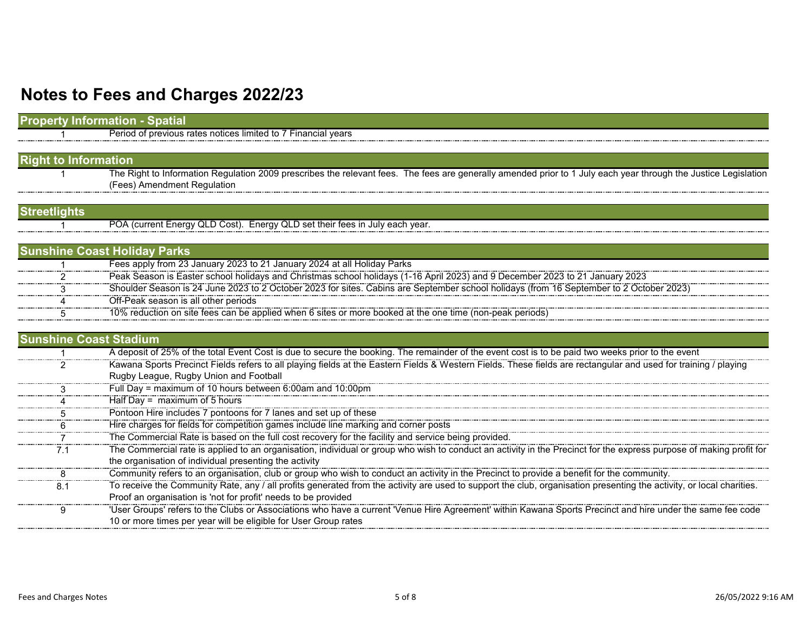| <b>Property Information - Spatial</b> |                                                                                                                                                                                                |
|---------------------------------------|------------------------------------------------------------------------------------------------------------------------------------------------------------------------------------------------|
|                                       | Period of previous rates notices limited to 7 Financial years                                                                                                                                  |
|                                       |                                                                                                                                                                                                |
| <b>Right to Information</b>           |                                                                                                                                                                                                |
|                                       | The Right to Information Regulation 2009 prescribes the relevant fees. The fees are generally amended prior to 1 July each year through the Justice Legislation<br>(Fees) Amendment Regulation |
| <b>Streetlights</b>                   |                                                                                                                                                                                                |
|                                       | POA (current Energy QLD Cost). Energy QLD set their fees in July each year.                                                                                                                    |
|                                       | <b>Sunshine Coast Holiday Parks</b>                                                                                                                                                            |
|                                       | Fees apply from 23 January 2023 to 21 January 2024 at all Holiday Parks                                                                                                                        |
|                                       | Peak Season is Easter school holidays and Christmas school holidays (1-16 April 2023) and 9 December 2023 to 21 January 2023                                                                   |
|                                       | Shoulder Season is 24 June 2023 to 2 October 2023 for sites. Cabins are September school holidays (from 16 September to 2 October 2023)                                                        |
|                                       | Off-Peak season is all other periods                                                                                                                                                           |
|                                       | 10% reduction on site fees can be applied when 6 sites or more booked at the one time (non-peak periods)                                                                                       |
| <b>Sunshine Coast Stadium</b>         |                                                                                                                                                                                                |
|                                       | A deposit of 25% of the total Event Cost is due to secure the booking. The remainder of the event cost is to be paid two weeks prior to the event                                              |
|                                       | Kawana Sports Precinct Fields refers to all playing fields at the Eastern Fields & Western Fields. These fields are rectangular and used for training / playing                                |
|                                       | Rugby League, Rugby Union and Football                                                                                                                                                         |
|                                       | Full Day = maximum of 10 hours between 6:00am and 10:00pm                                                                                                                                      |
|                                       | Half Day = $maximum$ of 5 hours                                                                                                                                                                |
|                                       | Pontoon Hire includes 7 pontoons for 7 lanes and set up of these                                                                                                                               |
|                                       | Hire charges for fields for competition games include line marking and corner posts<br>The Commercial Rate is based on the full cost recovery for the facility and service being provided.     |
|                                       |                                                                                                                                                                                                |
| 7.1                                   | The Commercial rate is applied to an organisation, individual or group who wish to conduct an activity in the Precinct for the express purpose of making profit for                            |
|                                       | the organisation of individual presenting the activity                                                                                                                                         |
| 8                                     | Community refers to an organisation, club or group who wish to conduct an activity in the Precinct to provide a benefit for the community.                                                     |
| 8.1                                   | To receive the Community Rate, any / all profits generated from the activity are used to support the club, organisation presenting the activity, or local charities.                           |
|                                       | Proof an organisation is 'not for profit' needs to be provided                                                                                                                                 |
| 9                                     | "User Groups' refers to the Clubs or Associations who have a current "Venue Hire Agreement" within Kawana Sports Precinct and hire under the same fee code                                     |
|                                       | 10 or more times per year will be eligible for User Group rates                                                                                                                                |
|                                       |                                                                                                                                                                                                |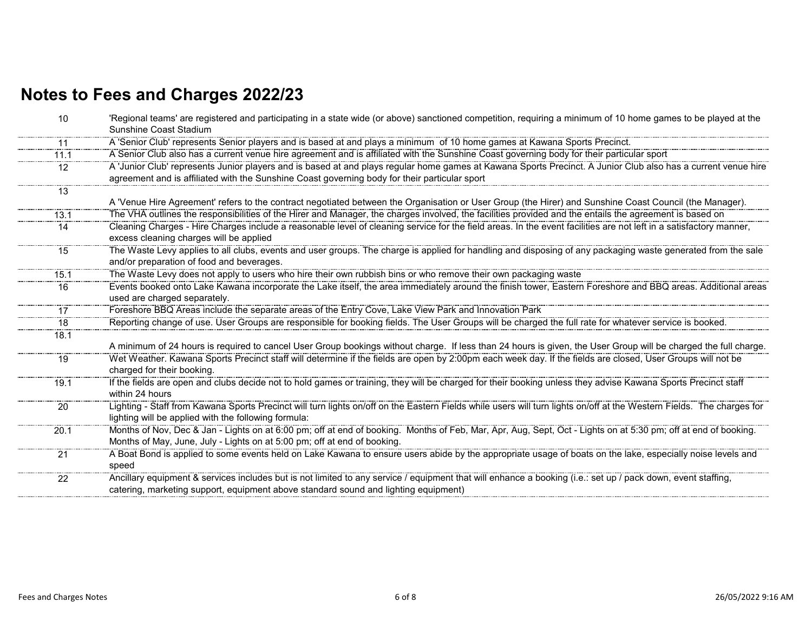| 10   | 'Regional teams' are registered and participating in a state wide (or above) sanctioned competition, requiring a minimum of 10 home games to be played at the         |
|------|-----------------------------------------------------------------------------------------------------------------------------------------------------------------------|
|      | Sunshine Coast Stadium                                                                                                                                                |
| -11  | A 'Senior Club' represents Senior players and is based at and plays a minimum of 10 home games at Kawana Sports Precinct.                                             |
| 11.1 | A Senior Club also has a current venue hire agreement and is affiliated with the Sunshine Coast governing body for their particular sport                             |
| 12   | A 'Junior Club' represents Junior players and is based at and plays regular home games at Kawana Sports Precinct. A Junior Club also has a current venue hire         |
|      | agreement and is affiliated with the Sunshine Coast governing body for their particular sport                                                                         |
| 13   |                                                                                                                                                                       |
|      | A 'Venue Hire Agreement' refers to the contract negotiated between the Organisation or User Group (the Hirer) and Sunshine Coast Council (the Manager).               |
| 13.1 | The VHA outlines the responsibilities of the Hirer and Manager, the charges involved, the facilities provided and the entails the agreement is based on               |
| 14   | Cleaning Charges - Hire Charges include a reasonable level of cleaning service for the field areas. In the event facilities are not left in a satisfactory manner,    |
|      | excess cleaning charges will be applied                                                                                                                               |
| 15   | The Waste Levy applies to all clubs, events and user groups. The charge is applied for handling and disposing of any packaging waste generated from the sale          |
|      | and/or preparation of food and beverages.                                                                                                                             |
| 15.1 | The Waste Levy does not apply to users who hire their own rubbish bins or who remove their own packaging waste                                                        |
| 16   | Events booked onto Lake Kawana incorporate the Lake itself, the area immediately around the finish tower, Eastern Foreshore and BBQ areas. Additional areas           |
|      | used are charged separately.                                                                                                                                          |
| 17   | Foreshore BBQ Areas include the separate areas of the Entry Cove, Lake View Park and Innovation Park                                                                  |
| 18   | Reporting change of use. User Groups are responsible for booking fields. The User Groups will be charged the full rate for whatever service is booked.                |
| 18.1 |                                                                                                                                                                       |
|      | A minimum of 24 hours is required to cancel User Group bookings without charge. If less than 24 hours is given, the User Group will be charged the full charge.       |
| 19   | Wet Weather. Kawana Sports Precinct staff will determine if the fields are open by 2:00pm each week day. If the fields are closed, User Groups will not be            |
|      | charged for their booking.                                                                                                                                            |
| 19.1 | If the fields are open and clubs decide not to hold games or training, they will be charged for their booking unless they advise Kawana Sports Precinct staff         |
|      | within 24 hours                                                                                                                                                       |
| 20   | Lighting - Staff from Kawana Sports Precinct will turn lights on/off on the Eastern Fields while users will turn lights on/off at the Western Fields. The charges for |
|      | lighting will be applied with the following formula:                                                                                                                  |
| 20.1 | Months of Nov, Dec & Jan - Lights on at 6:00 pm; off at end of booking. Months of Feb, Mar, Apr, Aug, Sept, Oct - Lights on at 5:30 pm; off at end of booking.        |
|      | Months of May, June, July - Lights on at 5:00 pm; off at end of booking.                                                                                              |
| 21   | A Boat Bond is applied to some events held on Lake Kawana to ensure users abide by the appropriate usage of boats on the lake, especially noise levels and            |
|      | speed                                                                                                                                                                 |
| 22   | Ancillary equipment & services includes but is not limited to any service / equipment that will enhance a booking (i.e.: set up / pack down, event staffing,          |
|      | catering, marketing support, equipment above standard sound and lighting equipment)                                                                                   |
|      |                                                                                                                                                                       |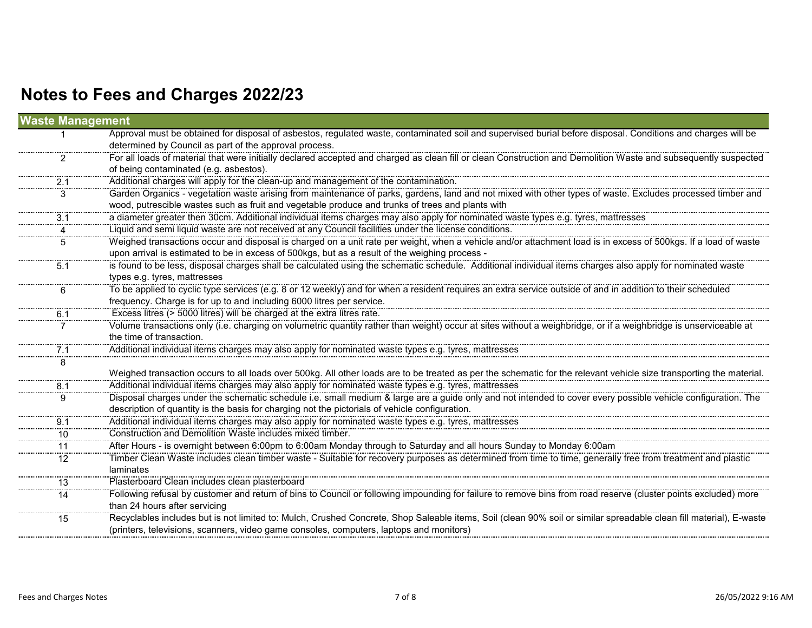| <b>Waste Management</b> |                                                                                                                                                                     |
|-------------------------|---------------------------------------------------------------------------------------------------------------------------------------------------------------------|
|                         | Approval must be obtained for disposal of asbestos, regulated waste, contaminated soil and supervised burial before disposal. Conditions and charges will be        |
|                         | determined by Council as part of the approval process.                                                                                                              |
| 2                       | For all loads of material that were initially declared accepted and charged as clean fill or clean Construction and Demolition Waste and subsequently suspected     |
|                         | of being contaminated (e.g. asbestos).                                                                                                                              |
| 2.1                     | Additional charges will apply for the clean-up and management of the contamination.                                                                                 |
| 3                       | Garden Organics - vegetation waste arising from maintenance of parks, gardens, land and not mixed with other types of waste. Excludes processed timber and          |
|                         | wood, putrescible wastes such as fruit and vegetable produce and trunks of trees and plants with                                                                    |
| 3.1                     | a diameter greater then 30cm. Additional individual items charges may also apply for nominated waste types e.g. tyres, mattresses                                   |
|                         | Liquid and semi liquid waste are not received at any Council facilities under the license conditions.                                                               |
| 5                       | Weighed transactions occur and disposal is charged on a unit rate per weight, when a vehicle and/or attachment load is in excess of 500kgs. If a load of waste      |
|                         | upon arrival is estimated to be in excess of 500kgs, but as a result of the weighing process -                                                                      |
| 5.1                     | is found to be less, disposal charges shall be calculated using the schematic schedule. Additional individual items charges also apply for nominated waste          |
|                         | types e.g. tyres, mattresses                                                                                                                                        |
| 6                       | To be applied to cyclic type services (e.g. 8 or 12 weekly) and for when a resident requires an extra service outside of and in addition to their scheduled         |
|                         | frequency. Charge is for up to and including 6000 litres per service.                                                                                               |
| 6.1                     | Excess litres (> 5000 litres) will be charged at the extra litres rate.                                                                                             |
|                         | Volume transactions only (i.e. charging on volumetric quantity rather than weight) occur at sites without a weighbridge, or if a weighbridge is unserviceable at    |
|                         | the time of transaction.                                                                                                                                            |
| 7.1                     | Additional individual items charges may also apply for nominated waste types e.g. tyres, mattresses                                                                 |
| 8                       |                                                                                                                                                                     |
|                         | Weighed transaction occurs to all loads over 500kg. All other loads are to be treated as per the schematic for the relevant vehicle size transporting the material. |
| 8.1                     | Additional individual items charges may also apply for nominated waste types e.g. tyres, mattresses                                                                 |
| 9                       | Disposal charges under the schematic schedule i.e. small medium & large are a guide only and not intended to cover every possible vehicle configuration. The        |
|                         | description of quantity is the basis for charging not the pictorials of vehicle configuration.                                                                      |
| 9.1                     | Additional individual items charges may also apply for nominated waste types e.g. tyres, mattresses                                                                 |
| 10                      | Construction and Demolition Waste includes mixed timber.                                                                                                            |
| 11                      | After Hours - is overnight between 6:00pm to 6:00am Monday through to Saturday and all hours Sunday to Monday 6:00am                                                |
| 12                      | Timber Clean Waste includes clean timber waste - Suitable for recovery purposes as determined from time to time, generally free from treatment and plastic          |
|                         | laminates                                                                                                                                                           |
| 13                      | Plasterboard Clean includes clean plasterboard                                                                                                                      |
| 14                      | Following refusal by customer and return of bins to Council or following impounding for failure to remove bins from road reserve (cluster points excluded) more     |
|                         | than 24 hours after servicing                                                                                                                                       |
| 15                      | Recyclables includes but is not limited to: Mulch, Crushed Concrete, Shop Saleable items, Soil (clean 90% soil or similar spreadable clean fill material), E-waste  |
|                         | (printers, televisions, scanners, video game consoles, computers, laptops and monitors)                                                                             |